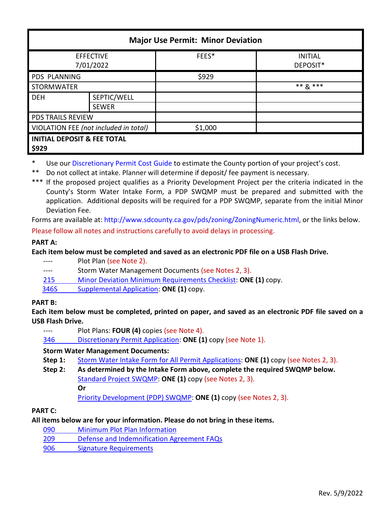| <b>Major Use Permit: Minor Deviation</b>        |                             |         |                            |  |  |
|-------------------------------------------------|-----------------------------|---------|----------------------------|--|--|
| <b>EFFECTIVE</b><br>7/01/2022                   |                             | FEES*   | <b>INITIAL</b><br>DEPOSIT* |  |  |
| PDS PLANNING                                    |                             | \$929   |                            |  |  |
| <b>STORMWATER</b>                               |                             |         | $*** R***$                 |  |  |
| <b>DEH</b>                                      | SEPTIC/WELL<br><b>SEWER</b> |         |                            |  |  |
| <b>PDS TRAILS REVIEW</b>                        |                             |         |                            |  |  |
| VIOLATION FEE (not included in total)           |                             | \$1,000 |                            |  |  |
| <b>INITIAL DEPOSIT &amp; FEE TOTAL</b><br>\$929 |                             |         |                            |  |  |

Use ou[r Discretionary Permit Cost Guide](http://www.sandiegocounty.gov/content/dam/sdc/pds/docs/Discretionary_Permit_Cost_Guide.xlsx) to estimate the County portion of your project's cost.

\*\* Do not collect at intake. Planner will determine if deposit/ fee payment is necessary.

\*\*\* If the proposed project qualifies as a Priority Development Project per the criteria indicated in the County's Storm Water Intake Form, a PDP SWQMP must be prepared and submitted with the application. Additional deposits will be required for a PDP SWQMP, separate from the initial Minor Deviation Fee.

Forms are available at[: http://www.sdcounty.ca.gov/pds/zoning/ZoningNumeric.html,](http://www.sdcounty.ca.gov/pds/zoning/ZoningNumeric.html) or the links below. Please follow all notes and instructions carefully to avoid delays in processing.

# **PART A:**

**Each item below must be completed and saved as an electronic PDF file on a USB Flash Drive.**

- ---- Plot Plan (see Note 2).
- ---- Storm Water Management Documents (see Notes 2, 3).
- 215 [Minor Deviation Minimum Requirements Checklist:](http://www.sdcounty.ca.gov/pds/zoning/formfields/PDS-PLN-215.pdf) **ONE (1)** copy.
- [346S Supplemental Application:](http://www.sdcounty.ca.gov/pds/zoning/formfields/PDS-PLN-346S.pdf) **ONE (1)** copy.

# **PART B:**

**Each item below must be completed, printed on paper, and saved as an electronic PDF file saved on a USB Flash Drive.**

---- Plot Plans: **FOUR (4)** copies (see Note 4).

346 [Discretionary Permit Application:](http://www.sdcounty.ca.gov/pds/zoning/formfields/PDS-PLN-346.pdf) **ONE (1)** copy (see Note 1).

# **Storm Water Management Documents:**

- **Step 1:** [Storm Water Intake Form for All Permit Applications:](http://www.sandiegocounty.gov/content/dam/sdc/pds/zoning/formfields/SWQMP-Intake-Form.pdf) **ONE (1)** copy (see Notes 2, 3).
- **Step 2: As determined by the Intake Form above, complete the required SWQMP below.** [Standard Project SWQMP:](http://www.sandiegocounty.gov/content/dam/sdc/pds/zoning/formfields/SWQMP-Standard.pdf) **ONE (1)** copy (see Notes 2, 3). **Or**

[Priority Development \(PDP\) SWQMP:](https://www.sandiegocounty.gov/content/sdc/dpw/watersheds/DevelopmentandConstruction/BMP_Design_Manual.html) **ONE (1)** copy (see Notes 2, 3).

**PART C:**

# **All items below are for your information. Please do not bring in these items.**

- 090 [Minimum Plot Plan Information](http://www.sdcounty.ca.gov/pds/docs/pds090.pdf)
- 209 [Defense and Indemnification Agreement FAQs](http://www.sdcounty.ca.gov/pds/zoning/formfields/PDS-PLN-209.pdf)
- [906 Signature Requirements](http://www.sdcounty.ca.gov/pds/zoning/formfields/PDS-PLN-906.pdf)